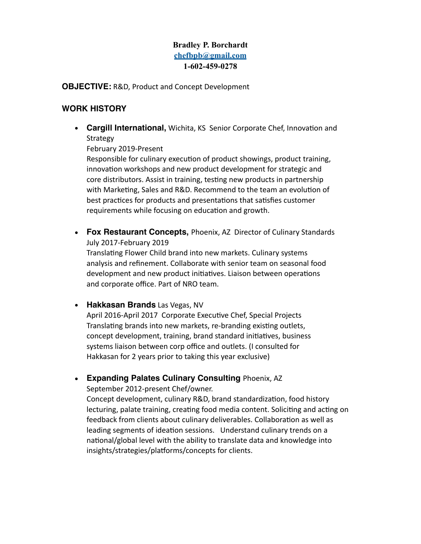# **Bradley P. Borchardt [chefbpb@gmail.com](mailto:chefbrad500@hotmail.com) 1-602-459-0278**

**OBJECTIVE:** R&D, Product and Concept Development

## **WORK HISTORY**

• Cargill International, Wichita, KS Senior Corporate Chef, Innovation and **Strategy** 

February 2019-Present

Responsible for culinary execution of product showings, product training, innovation workshops and new product development for strategic and core distributors. Assist in training, testing new products in partnership with Marketing, Sales and R&D. Recommend to the team an evolution of best practices for products and presentations that satisfies customer requirements while focusing on education and growth.

**• Fox Restaurant Concepts,** Phoenix, AZ Director of Culinary Standards July 2017-February 2019

Translating Flower Child brand into new markets. Culinary systems analysis and refinement. Collaborate with senior team on seasonal food development and new product initiatives. Liaison between operations and corporate office. Part of NRO team.

**• Hakkasan Brands** Las Vegas, NV

April 2016-April 2017 Corporate Executive Chef, Special Projects Translating brands into new markets, re-branding existing outlets, concept development, training, brand standard initiatives, business systems liaison between corp office and outlets. (I consulted for Hakkasan for 2 years prior to taking this year exclusive)

**• Expanding Palates Culinary Consulting** Phoenix, AZ

September 2012-present Chef/owner.

Concept development, culinary R&D, brand standardization, food history lecturing, palate training, creating food media content. Soliciting and acting on feedback from clients about culinary deliverables. Collaboration as well as leading segments of ideation sessions. Understand culinary trends on a national/global level with the ability to translate data and knowledge into insights/strategies/platforms/concepts for clients.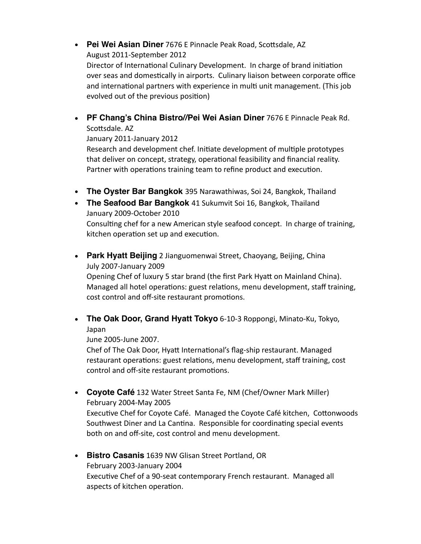#### • Pei Wei Asian Diner 7676 E Pinnacle Peak Road, Scottsdale, AZ August 2011-September 2012

Director of International Culinary Development. In charge of brand initiation over seas and domestically in airports. Culinary liaison between corporate office and international partners with experience in multi unit management. (This job evolved out of the previous position)

**• PF Chang's China Bistro//Pei Wei Asian Diner** 7676 E Pinnacle Peak Rd. Scottsdale. AZ

January 2011-January 2012

Research and development chef. Initiate development of multiple prototypes that deliver on concept, strategy, operational feasibility and financial reality. Partner with operations training team to refine product and execution.

- **• The Oyster Bar Bangkok** 395 Narawathiwas, Soi 24, Bangkok, Thailand
- **• The Seafood Bar Bangkok** 41 Sukumvit Soi 16, Bangkok, Thailand January 2009-October 2010 Consulting chef for a new American style seafood concept. In charge of training, kitchen operation set up and execution.
- **• Park Hyatt Beijing** 2 Jianguomenwai Street, Chaoyang, Beijing, China July 2007-January 2009

Opening Chef of luxury 5 star brand (the first Park Hyatt on Mainland China). Managed all hotel operations: guest relations, menu development, staff training, cost control and off-site restaurant promotions.

**• The Oak Door, [Grand Hyatt Tokyo](http://tokyo.grand.hyatt.com/hyatt/hotels/)** 6-10-3 Roppongi, Minato-Ku, Tokyo, Japan

June 2005-June 2007.

Chef of The Oak Door, Hyatt International's flag-ship restaurant. Managed restaurant operations: guest relations, menu development, staff training, cost control and off-site restaurant promotions.

**• Coyote Café** 132 Water Street Santa Fe, NM (Chef/Owner Mark Miller) February 2004-May 2005

Executive Chef for Coyote Café. Managed the Coyote Café kitchen, Cottonwoods Southwest Diner and La Cantina. Responsible for coordinating special events both on and off-site, cost control and menu development.

**• Bistro Casanis** 1639 NW Glisan Street Portland, OR February 2003-January 2004 Executive Chef of a 90-seat contemporary French restaurant. Managed all aspects of kitchen operation.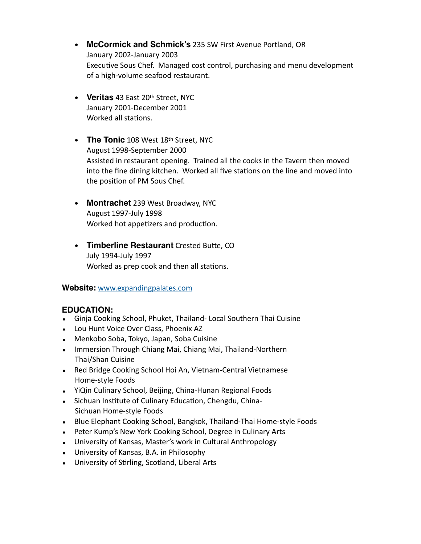- **• McCormick and Schmick's** 235 SW First Avenue Portland, OR January 2002-January 2003 Executive Sous Chef. Managed cost control, purchasing and menu development of a high-volume seafood restaurant.
- **• Veritas** 43 East 20th Street, NYC January 2001-December 2001 Worked all stations.
- **• The Tonic** 108 West 18th Street, NYC August 1998-September 2000 Assisted in restaurant opening. Trained all the cooks in the Tavern then moved into the fine dining kitchen. Worked all five stations on the line and moved into the position of PM Sous Chef.
- **• Montrachet** 239 West Broadway, NYC August 1997-July 1998 Worked hot appetizers and production.
- **Timberline Restaurant** Crested Butte, CO July 1994-July 1997 Worked as prep cook and then all stations.

### **Website:** [www.expandingpalates.com](http://www.expandingpalates.com)

### **EDUCATION:**

- Ginja Cooking School, Phuket, Thailand- Local Southern Thai Cuisine
- Lou Hunt Voice Over Class, Phoenix AZ
- Menkobo Soba, Tokyo, Japan, Soba Cuisine
- Immersion Through Chiang Mai, Chiang Mai, Thailand-Northern Thai/Shan Cuisine
- Red Bridge Cooking School Hoi An, Vietnam-Central Vietnamese Home-style Foods
- YiQin Culinary School, Beijing, China-Hunan Regional Foods
- Sichuan Institute of Culinary Education, Chengdu, China-Sichuan Home-style Foods
- Blue Elephant Cooking School, Bangkok, Thailand-Thai Home-style Foods
- Peter Kump's New York Cooking School, Degree in Culinary Arts
- University of Kansas, Master's work in Cultural Anthropology
- University of Kansas, B.A. in Philosophy
- University of Stirling, Scotland, Liberal Arts